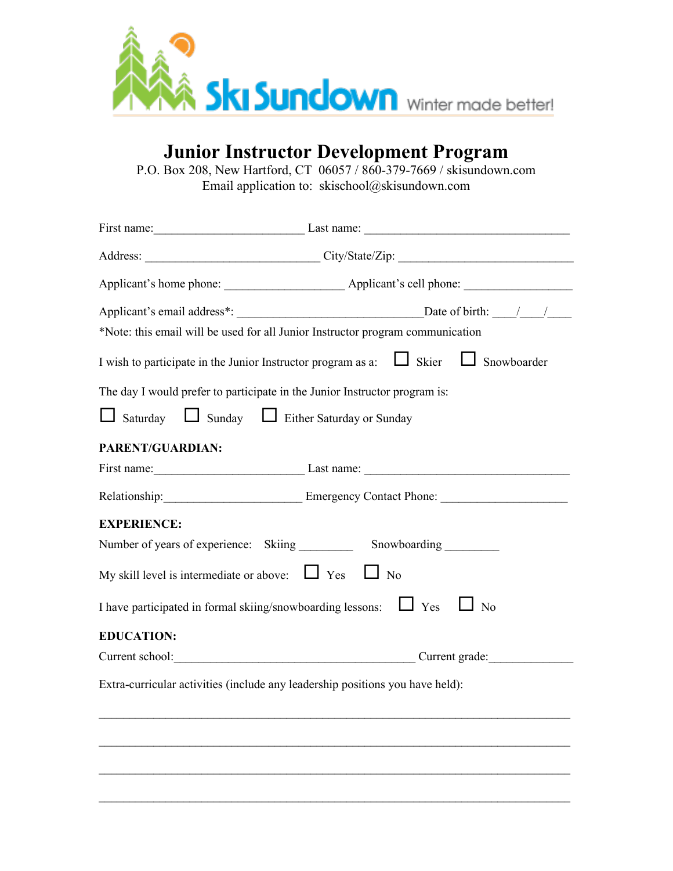

## **Junior Instructor Development Program**

P.O. Box 208, New Hartford, CT 06057 / 860-379-7669 / skisundown.com Email application to: skischool@skisundown.com

|                                                               | First name: $\frac{1}{2}$ Last name: $\frac{1}{2}$ Last name: $\frac{1}{2}$                  |  |  |
|---------------------------------------------------------------|----------------------------------------------------------------------------------------------|--|--|
|                                                               |                                                                                              |  |  |
|                                                               |                                                                                              |  |  |
|                                                               |                                                                                              |  |  |
|                                                               | *Note: this email will be used for all Junior Instructor program communication               |  |  |
|                                                               | I wish to participate in the Junior Instructor program as a: $\Box$ Skier $\Box$ Snowboarder |  |  |
|                                                               | The day I would prefer to participate in the Junior Instructor program is:                   |  |  |
| Saturday Sunday Either Saturday or Sunday                     |                                                                                              |  |  |
| PARENT/GUARDIAN:                                              |                                                                                              |  |  |
|                                                               | First name: $\frac{1}{2}$ Last name: $\frac{1}{2}$ Last name: $\frac{1}{2}$                  |  |  |
|                                                               |                                                                                              |  |  |
| <b>EXPERIENCE:</b>                                            |                                                                                              |  |  |
|                                                               | Number of years of experience: Skiing _____________ Snowboarding _________                   |  |  |
| My skill level is intermediate or above: $\Box$ Yes $\Box$ No |                                                                                              |  |  |
|                                                               | I have participated in formal skiing/snowboarding lessons: $\Box$ Yes $\Box$ No              |  |  |
| <b>EDUCATION:</b>                                             |                                                                                              |  |  |
|                                                               | Current school: Current grade: Current grade:                                                |  |  |
|                                                               | Extra-curricular activities (include any leadership positions you have held):                |  |  |
|                                                               |                                                                                              |  |  |
|                                                               |                                                                                              |  |  |
|                                                               |                                                                                              |  |  |
|                                                               |                                                                                              |  |  |
|                                                               |                                                                                              |  |  |